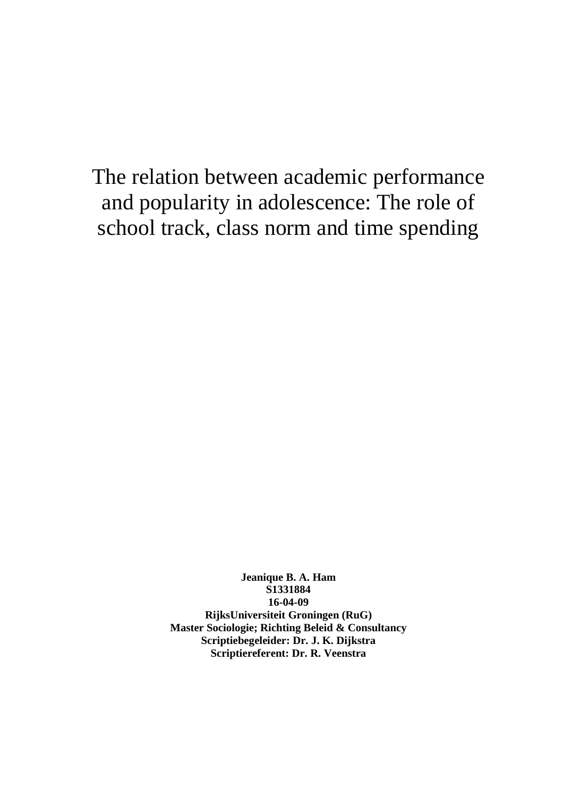The relation between academic performance and popularity in adolescence: The role of school track, class norm and time spending

> **Jeanique B. A. Ham S1331884 16-04-09 RijksUniversiteit Groningen (RuG) Master Sociologie; Richting Beleid & Consultancy Scriptiebegeleider: Dr. J. K. Dijkstra Scriptiereferent: Dr. R. Veenstra**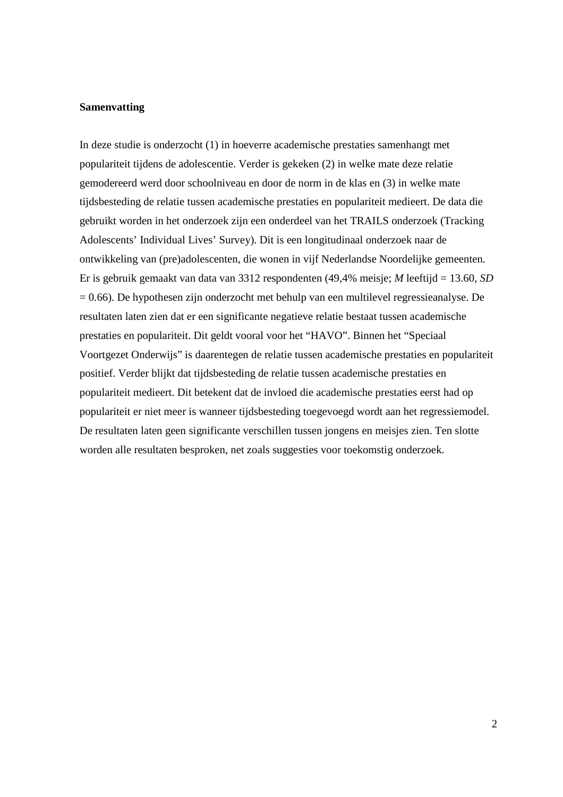#### **Samenvatting**

In deze studie is onderzocht (1) in hoeverre academische prestaties samenhangt met populariteit tijdens de adolescentie. Verder is gekeken (2) in welke mate deze relatie gemodereerd werd door schoolniveau en door de norm in de klas en (3) in welke mate tijdsbesteding de relatie tussen academische prestaties en populariteit medieert. De data die gebruikt worden in het onderzoek zijn een onderdeel van het TRAILS onderzoek (Tracking Adolescents' Individual Lives' Survey). Dit is een longitudinaal onderzoek naar de ontwikkeling van (pre)adolescenten, die wonen in vijf Nederlandse Noordelijke gemeenten. Er is gebruik gemaakt van data van 3312 respondenten (49,4% meisje; *M* leeftijd = 13.60, *SD*  $= 0.66$ ). De hypothesen zijn onderzocht met behulp van een multilevel regressieanalyse. De resultaten laten zien dat er een significante negatieve relatie bestaat tussen academische prestaties en populariteit. Dit geldt vooral voor het "HAVO". Binnen het "Speciaal Voortgezet Onderwijs" is daarentegen de relatie tussen academische prestaties en populariteit positief. Verder blijkt dat tijdsbesteding de relatie tussen academische prestaties en populariteit medieert. Dit betekent dat de invloed die academische prestaties eerst had op populariteit er niet meer is wanneer tijdsbesteding toegevoegd wordt aan het regressiemodel. De resultaten laten geen significante verschillen tussen jongens en meisjes zien. Ten slotte worden alle resultaten besproken, net zoals suggesties voor toekomstig onderzoek.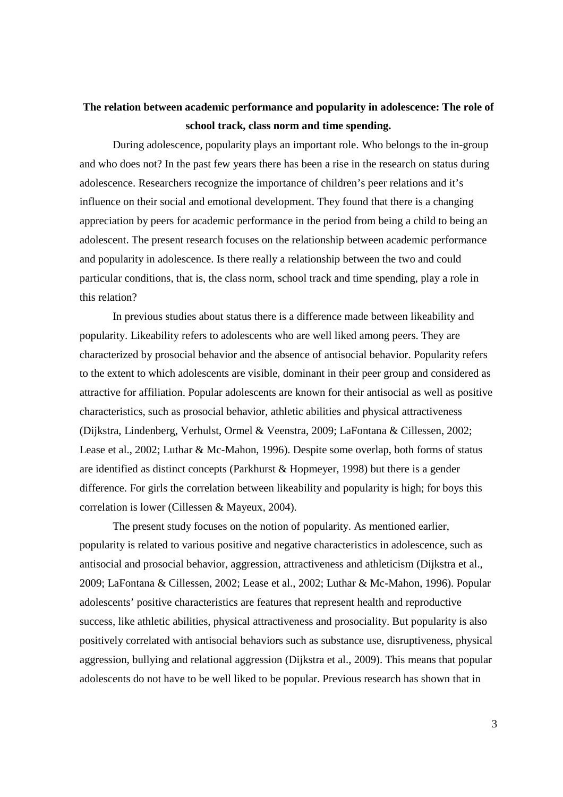## **The relation between academic performance and popularity in adolescence: The role of school track, class norm and time spending.**

During adolescence, popularity plays an important role. Who belongs to the in-group and who does not? In the past few years there has been a rise in the research on status during adolescence. Researchers recognize the importance of children's peer relations and it's influence on their social and emotional development. They found that there is a changing appreciation by peers for academic performance in the period from being a child to being an adolescent. The present research focuses on the relationship between academic performance and popularity in adolescence. Is there really a relationship between the two and could particular conditions, that is, the class norm, school track and time spending, play a role in this relation?

In previous studies about status there is a difference made between likeability and popularity. Likeability refers to adolescents who are well liked among peers. They are characterized by prosocial behavior and the absence of antisocial behavior. Popularity refers to the extent to which adolescents are visible, dominant in their peer group and considered as attractive for affiliation. Popular adolescents are known for their antisocial as well as positive characteristics, such as prosocial behavior, athletic abilities and physical attractiveness (Dijkstra, Lindenberg, Verhulst, Ormel & Veenstra, 2009; LaFontana & Cillessen, 2002; Lease et al., 2002; Luthar & Mc-Mahon, 1996). Despite some overlap, both forms of status are identified as distinct concepts (Parkhurst & Hopmeyer, 1998) but there is a gender difference. For girls the correlation between likeability and popularity is high; for boys this correlation is lower (Cillessen & Mayeux, 2004).

The present study focuses on the notion of popularity. As mentioned earlier, popularity is related to various positive and negative characteristics in adolescence, such as antisocial and prosocial behavior, aggression, attractiveness and athleticism (Dijkstra et al., 2009; LaFontana & Cillessen, 2002; Lease et al., 2002; Luthar & Mc-Mahon, 1996). Popular adolescents' positive characteristics are features that represent health and reproductive success, like athletic abilities, physical attractiveness and prosociality. But popularity is also positively correlated with antisocial behaviors such as substance use, disruptiveness, physical aggression, bullying and relational aggression (Dijkstra et al., 2009). This means that popular adolescents do not have to be well liked to be popular. Previous research has shown that in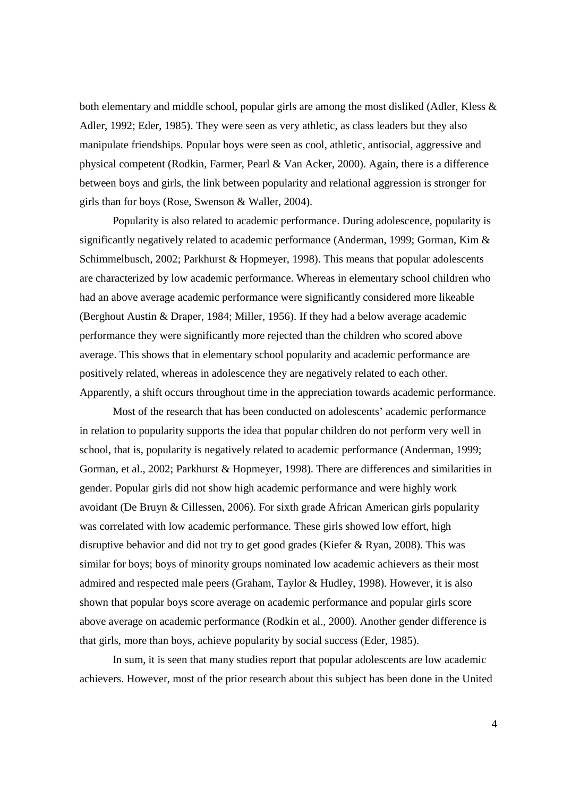both elementary and middle school, popular girls are among the most disliked (Adler, Kless & Adler, 1992; Eder, 1985). They were seen as very athletic, as class leaders but they also manipulate friendships. Popular boys were seen as cool, athletic, antisocial, aggressive and physical competent (Rodkin, Farmer, Pearl & Van Acker, 2000). Again, there is a difference between boys and girls, the link between popularity and relational aggression is stronger for girls than for boys (Rose, Swenson & Waller, 2004).

Popularity is also related to academic performance. During adolescence, popularity is significantly negatively related to academic performance (Anderman, 1999; Gorman, Kim & Schimmelbusch, 2002; Parkhurst & Hopmeyer, 1998). This means that popular adolescents are characterized by low academic performance. Whereas in elementary school children who had an above average academic performance were significantly considered more likeable (Berghout Austin & Draper, 1984; Miller, 1956). If they had a below average academic performance they were significantly more rejected than the children who scored above average. This shows that in elementary school popularity and academic performance are positively related, whereas in adolescence they are negatively related to each other. Apparently, a shift occurs throughout time in the appreciation towards academic performance.

Most of the research that has been conducted on adolescents' academic performance in relation to popularity supports the idea that popular children do not perform very well in school, that is, popularity is negatively related to academic performance (Anderman, 1999; Gorman, et al., 2002; Parkhurst & Hopmeyer, 1998). There are differences and similarities in gender. Popular girls did not show high academic performance and were highly work avoidant (De Bruyn & Cillessen, 2006). For sixth grade African American girls popularity was correlated with low academic performance. These girls showed low effort, high disruptive behavior and did not try to get good grades (Kiefer & Ryan, 2008). This was similar for boys; boys of minority groups nominated low academic achievers as their most admired and respected male peers (Graham, Taylor & Hudley, 1998). However, it is also shown that popular boys score average on academic performance and popular girls score above average on academic performance (Rodkin et al., 2000). Another gender difference is that girls, more than boys, achieve popularity by social success (Eder, 1985).

In sum, it is seen that many studies report that popular adolescents are low academic achievers. However, most of the prior research about this subject has been done in the United

4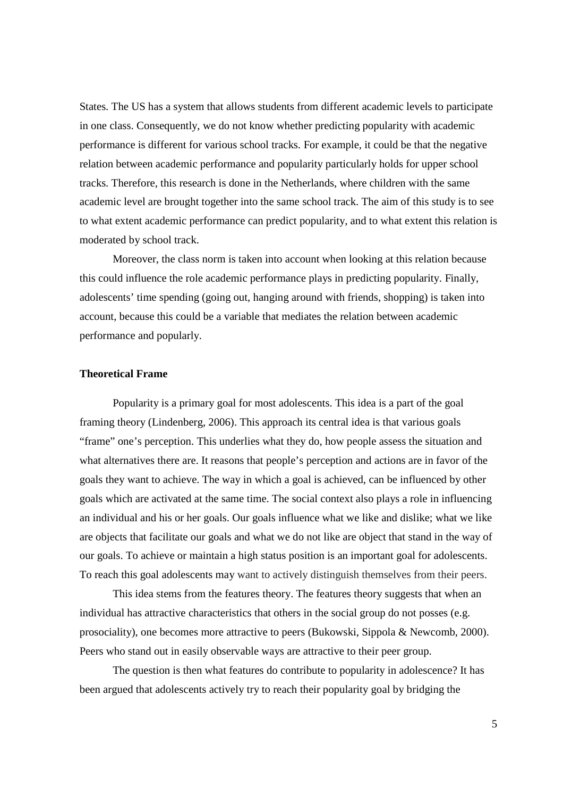States. The US has a system that allows students from different academic levels to participate in one class. Consequently, we do not know whether predicting popularity with academic performance is different for various school tracks. For example, it could be that the negative relation between academic performance and popularity particularly holds for upper school tracks. Therefore, this research is done in the Netherlands, where children with the same academic level are brought together into the same school track. The aim of this study is to see to what extent academic performance can predict popularity, and to what extent this relation is moderated by school track.

Moreover, the class norm is taken into account when looking at this relation because this could influence the role academic performance plays in predicting popularity. Finally, adolescents' time spending (going out, hanging around with friends, shopping) is taken into account, because this could be a variable that mediates the relation between academic performance and popularly.

## **Theoretical Frame**

Popularity is a primary goal for most adolescents. This idea is a part of the goal framing theory (Lindenberg, 2006). This approach its central idea is that various goals "frame" one's perception. This underlies what they do, how people assess the situation and what alternatives there are. It reasons that people's perception and actions are in favor of the goals they want to achieve. The way in which a goal is achieved, can be influenced by other goals which are activated at the same time. The social context also plays a role in influencing an individual and his or her goals. Our goals influence what we like and dislike; what we like are objects that facilitate our goals and what we do not like are object that stand in the way of our goals. To achieve or maintain a high status position is an important goal for adolescents. To reach this goal adolescents may want to actively distinguish themselves from their peers.

This idea stems from the features theory. The features theory suggests that when an individual has attractive characteristics that others in the social group do not posses (e.g. prosociality), one becomes more attractive to peers (Bukowski, Sippola & Newcomb, 2000). Peers who stand out in easily observable ways are attractive to their peer group.

The question is then what features do contribute to popularity in adolescence? It has been argued that adolescents actively try to reach their popularity goal by bridging the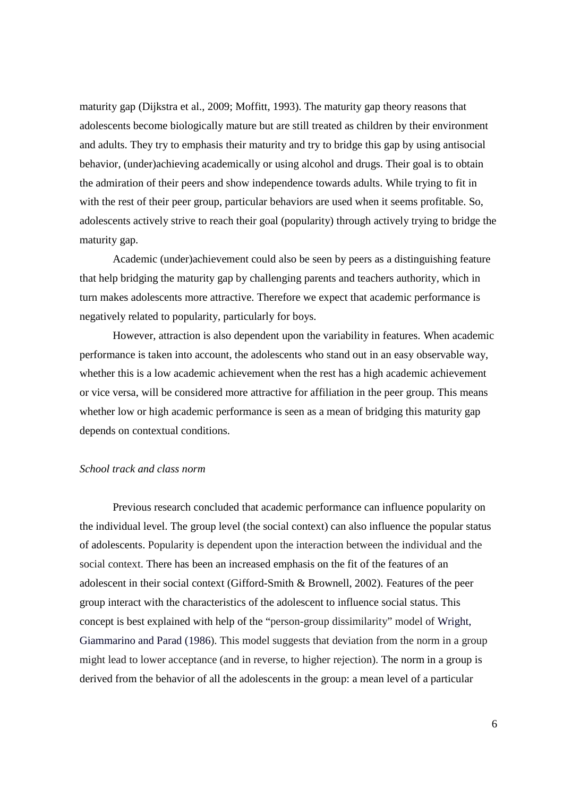maturity gap (Dijkstra et al., 2009; Moffitt, 1993). The maturity gap theory reasons that adolescents become biologically mature but are still treated as children by their environment and adults. They try to emphasis their maturity and try to bridge this gap by using antisocial behavior, (under)achieving academically or using alcohol and drugs. Their goal is to obtain the admiration of their peers and show independence towards adults. While trying to fit in with the rest of their peer group, particular behaviors are used when it seems profitable. So, adolescents actively strive to reach their goal (popularity) through actively trying to bridge the maturity gap.

Academic (under)achievement could also be seen by peers as a distinguishing feature that help bridging the maturity gap by challenging parents and teachers authority, which in turn makes adolescents more attractive. Therefore we expect that academic performance is negatively related to popularity, particularly for boys.

However, attraction is also dependent upon the variability in features. When academic performance is taken into account, the adolescents who stand out in an easy observable way, whether this is a low academic achievement when the rest has a high academic achievement or vice versa, will be considered more attractive for affiliation in the peer group. This means whether low or high academic performance is seen as a mean of bridging this maturity gap depends on contextual conditions.

## *School track and class norm*

Previous research concluded that academic performance can influence popularity on the individual level. The group level (the social context) can also influence the popular status of adolescents. Popularity is dependent upon the interaction between the individual and the social context. There has been an increased emphasis on the fit of the features of an adolescent in their social context (Gifford-Smith & Brownell, 2002). Features of the peer group interact with the characteristics of the adolescent to influence social status. This concept is best explained with help of the "person-group dissimilarity" model of Wright, Giammarino and Parad (1986). This model suggests that deviation from the norm in a group might lead to lower acceptance (and in reverse, to higher rejection). The norm in a group is derived from the behavior of all the adolescents in the group: a mean level of a particular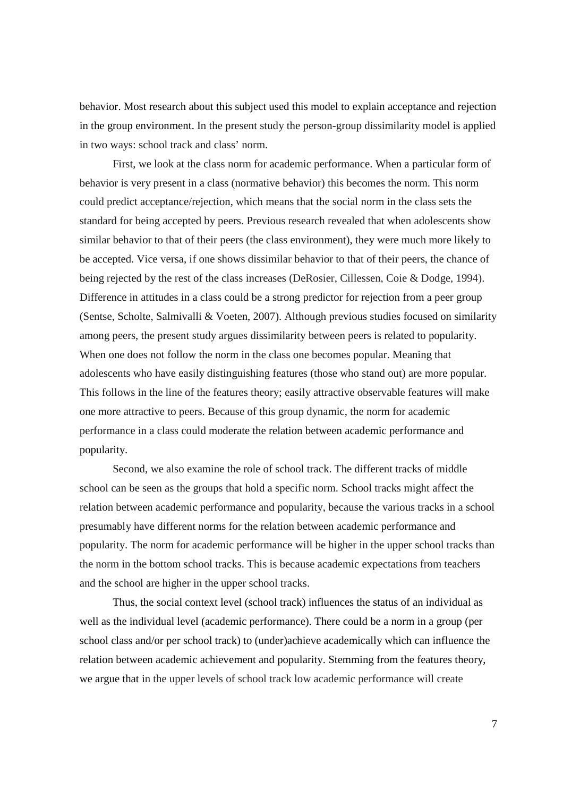behavior. Most research about this subject used this model to explain acceptance and rejection in the group environment. In the present study the person-group dissimilarity model is applied in two ways: school track and class' norm.

First, we look at the class norm for academic performance. When a particular form of behavior is very present in a class (normative behavior) this becomes the norm. This norm could predict acceptance/rejection, which means that the social norm in the class sets the standard for being accepted by peers. Previous research revealed that when adolescents show similar behavior to that of their peers (the class environment), they were much more likely to be accepted. Vice versa, if one shows dissimilar behavior to that of their peers, the chance of being rejected by the rest of the class increases (DeRosier, Cillessen, Coie & Dodge, 1994). Difference in attitudes in a class could be a strong predictor for rejection from a peer group (Sentse, Scholte, Salmivalli & Voeten, 2007). Although previous studies focused on similarity among peers, the present study argues dissimilarity between peers is related to popularity. When one does not follow the norm in the class one becomes popular. Meaning that adolescents who have easily distinguishing features (those who stand out) are more popular. This follows in the line of the features theory; easily attractive observable features will make one more attractive to peers. Because of this group dynamic, the norm for academic performance in a class could moderate the relation between academic performance and popularity.

Second, we also examine the role of school track. The different tracks of middle school can be seen as the groups that hold a specific norm. School tracks might affect the relation between academic performance and popularity, because the various tracks in a school presumably have different norms for the relation between academic performance and popularity. The norm for academic performance will be higher in the upper school tracks than the norm in the bottom school tracks. This is because academic expectations from teachers and the school are higher in the upper school tracks.

Thus, the social context level (school track) influences the status of an individual as well as the individual level (academic performance). There could be a norm in a group (per school class and/or per school track) to (under)achieve academically which can influence the relation between academic achievement and popularity. Stemming from the features theory, we argue that in the upper levels of school track low academic performance will create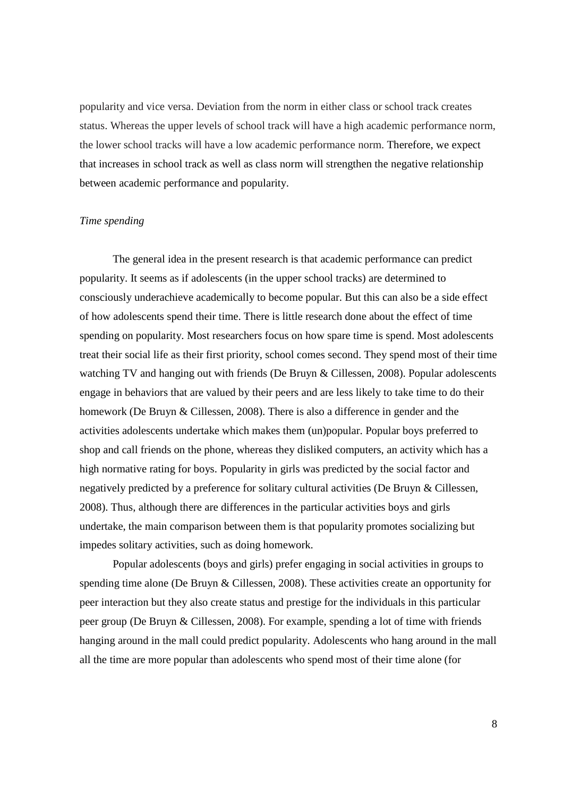popularity and vice versa. Deviation from the norm in either class or school track creates status. Whereas the upper levels of school track will have a high academic performance norm, the lower school tracks will have a low academic performance norm. Therefore, we expect that increases in school track as well as class norm will strengthen the negative relationship between academic performance and popularity.

## *Time spending*

The general idea in the present research is that academic performance can predict popularity. It seems as if adolescents (in the upper school tracks) are determined to consciously underachieve academically to become popular. But this can also be a side effect of how adolescents spend their time. There is little research done about the effect of time spending on popularity. Most researchers focus on how spare time is spend. Most adolescents treat their social life as their first priority, school comes second. They spend most of their time watching TV and hanging out with friends (De Bruyn & Cillessen, 2008). Popular adolescents engage in behaviors that are valued by their peers and are less likely to take time to do their homework (De Bruyn & Cillessen, 2008). There is also a difference in gender and the activities adolescents undertake which makes them (un)popular. Popular boys preferred to shop and call friends on the phone, whereas they disliked computers, an activity which has a high normative rating for boys. Popularity in girls was predicted by the social factor and negatively predicted by a preference for solitary cultural activities (De Bruyn & Cillessen, 2008). Thus, although there are differences in the particular activities boys and girls undertake, the main comparison between them is that popularity promotes socializing but impedes solitary activities, such as doing homework.

Popular adolescents (boys and girls) prefer engaging in social activities in groups to spending time alone (De Bruyn & Cillessen, 2008). These activities create an opportunity for peer interaction but they also create status and prestige for the individuals in this particular peer group (De Bruyn & Cillessen, 2008). For example, spending a lot of time with friends hanging around in the mall could predict popularity. Adolescents who hang around in the mall all the time are more popular than adolescents who spend most of their time alone (for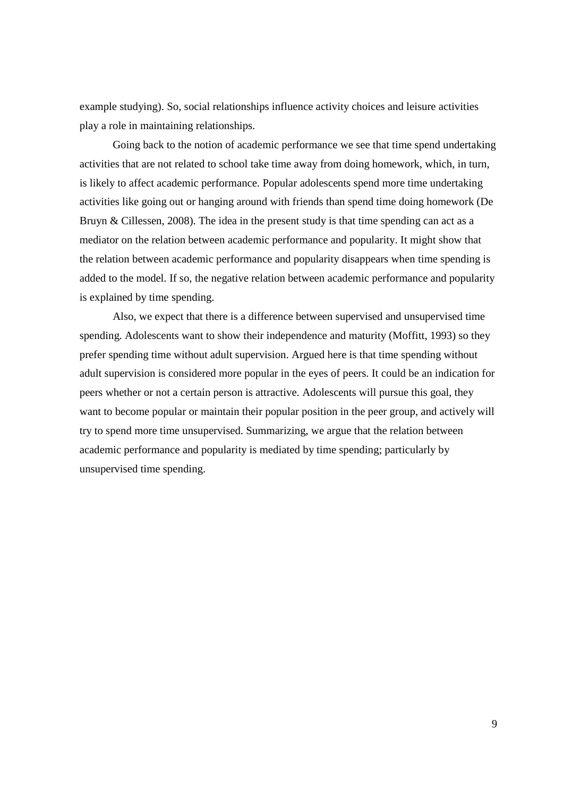example studying). So, social relationships influence activity choices and leisure activities play a role in maintaining relationships.

Going back to the notion of academic performance we see that time spend undertaking activities that are not related to school take time away from doing homework, which, in turn, is likely to affect academic performance. Popular adolescents spend more time undertaking activities like going out or hanging around with friends than spend time doing homework (De Bruyn & Cillessen, 2008). The idea in the present study is that time spending can act as a mediator on the relation between academic performance and popularity. It might show that the relation between academic performance and popularity disappears when time spending is added to the model. If so, the negative relation between academic performance and popularity is explained by time spending.

Also, we expect that there is a difference between supervised and unsupervised time spending. Adolescents want to show their independence and maturity (Moffitt, 1993) so they prefer spending time without adult supervision. Argued here is that time spending without adult supervision is considered more popular in the eyes of peers. It could be an indication for peers whether or not a certain person is attractive. Adolescents will pursue this goal, they want to become popular or maintain their popular position in the peer group, and actively will try to spend more time unsupervised. Summarizing, we argue that the relation between academic performance and popularity is mediated by time spending; particularly by unsupervised time spending.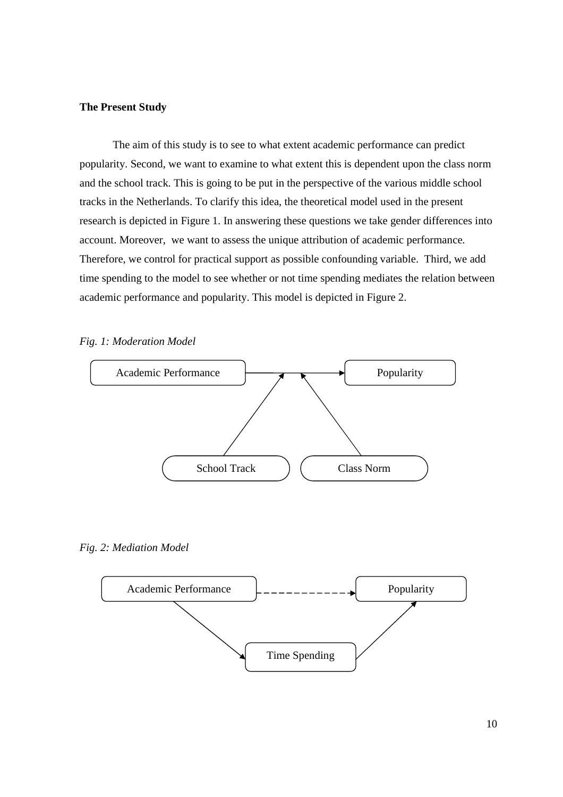## **The Present Study**

The aim of this study is to see to what extent academic performance can predict popularity. Second, we want to examine to what extent this is dependent upon the class norm and the school track. This is going to be put in the perspective of the various middle school tracks in the Netherlands. To clarify this idea, the theoretical model used in the present research is depicted in Figure 1. In answering these questions we take gender differences into account. Moreover, we want to assess the unique attribution of academic performance. Therefore, we control for practical support as possible confounding variable. Third, we add time spending to the model to see whether or not time spending mediates the relation between academic performance and popularity. This model is depicted in Figure 2.





*Fig. 2: Mediation Model* 

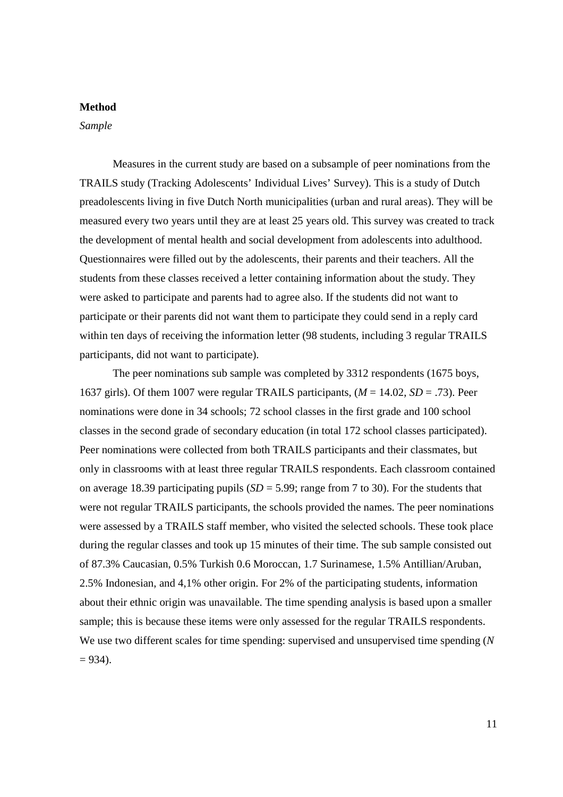## **Method**

*Sample* 

Measures in the current study are based on a subsample of peer nominations from the TRAILS study (Tracking Adolescents' Individual Lives' Survey). This is a study of Dutch preadolescents living in five Dutch North municipalities (urban and rural areas). They will be measured every two years until they are at least 25 years old. This survey was created to track the development of mental health and social development from adolescents into adulthood. Questionnaires were filled out by the adolescents, their parents and their teachers. All the students from these classes received a letter containing information about the study. They were asked to participate and parents had to agree also. If the students did not want to participate or their parents did not want them to participate they could send in a reply card within ten days of receiving the information letter (98 students, including 3 regular TRAILS participants, did not want to participate).

The peer nominations sub sample was completed by 3312 respondents (1675 boys, 1637 girls). Of them 1007 were regular TRAILS participants, (*M* = 14.02, *SD* = .73). Peer nominations were done in 34 schools; 72 school classes in the first grade and 100 school classes in the second grade of secondary education (in total 172 school classes participated). Peer nominations were collected from both TRAILS participants and their classmates, but only in classrooms with at least three regular TRAILS respondents. Each classroom contained on average 18.39 participating pupils  $(SD = 5.99)$ ; range from 7 to 30). For the students that were not regular TRAILS participants, the schools provided the names. The peer nominations were assessed by a TRAILS staff member, who visited the selected schools. These took place during the regular classes and took up 15 minutes of their time. The sub sample consisted out of 87.3% Caucasian, 0.5% Turkish 0.6 Moroccan, 1.7 Surinamese, 1.5% Antillian/Aruban, 2.5% Indonesian, and 4,1% other origin. For 2% of the participating students, information about their ethnic origin was unavailable. The time spending analysis is based upon a smaller sample; this is because these items were only assessed for the regular TRAILS respondents. We use two different scales for time spending: supervised and unsupervised time spending (*N*  $= 934$ ).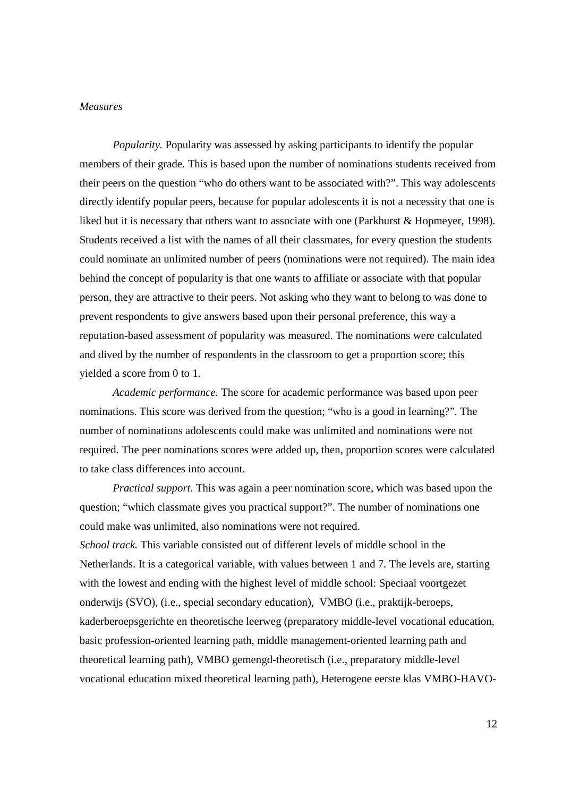#### *Measures*

*Popularity.* Popularity was assessed by asking participants to identify the popular members of their grade. This is based upon the number of nominations students received from their peers on the question "who do others want to be associated with?". This way adolescents directly identify popular peers, because for popular adolescents it is not a necessity that one is liked but it is necessary that others want to associate with one (Parkhurst & Hopmeyer, 1998). Students received a list with the names of all their classmates, for every question the students could nominate an unlimited number of peers (nominations were not required). The main idea behind the concept of popularity is that one wants to affiliate or associate with that popular person, they are attractive to their peers. Not asking who they want to belong to was done to prevent respondents to give answers based upon their personal preference, this way a reputation-based assessment of popularity was measured. The nominations were calculated and dived by the number of respondents in the classroom to get a proportion score; this yielded a score from 0 to 1.

*Academic performance.* The score for academic performance was based upon peer nominations. This score was derived from the question; "who is a good in learning?". The number of nominations adolescents could make was unlimited and nominations were not required. The peer nominations scores were added up, then, proportion scores were calculated to take class differences into account.

*Practical support.* This was again a peer nomination score, which was based upon the question; "which classmate gives you practical support?". The number of nominations one could make was unlimited, also nominations were not required. *School track.* This variable consisted out of different levels of middle school in the Netherlands. It is a categorical variable, with values between 1 and 7. The levels are, starting with the lowest and ending with the highest level of middle school: Speciaal voortgezet onderwijs (SVO), (i.e., special secondary education), VMBO (i.e., praktijk-beroeps, kaderberoepsgerichte en theoretische leerweg (preparatory middle-level vocational education, basic profession-oriented learning path, middle management-oriented learning path and theoretical learning path), VMBO gemengd-theoretisch (i.e., preparatory middle-level vocational education mixed theoretical learning path), Heterogene eerste klas VMBO-HAVO-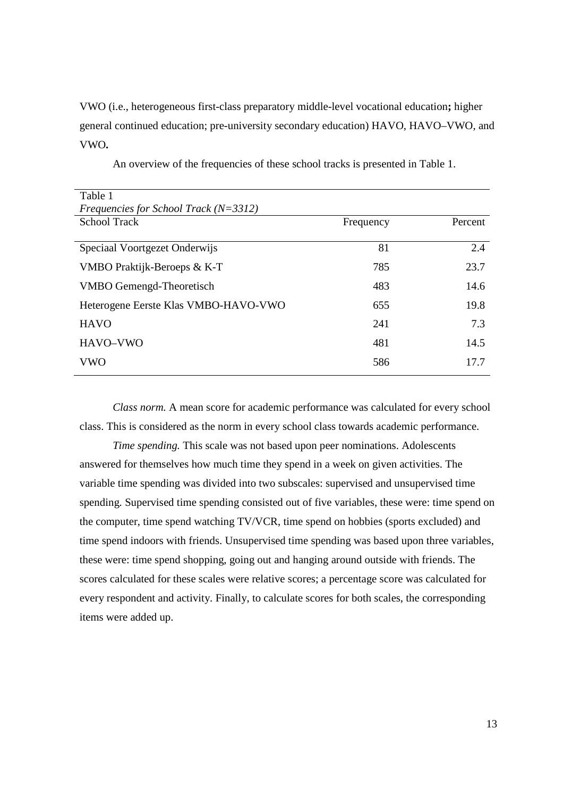# VWO (i.e., heterogeneous first-class preparatory middle-level vocational education**;** higher general continued education; pre-university secondary education) HAVO, HAVO–VWO, and VWO**.**

| Table 1                                 |           |         |
|-----------------------------------------|-----------|---------|
| Frequencies for School Track $(N=3312)$ |           |         |
| <b>School Track</b>                     | Frequency | Percent |
|                                         |           |         |
| Speciaal Voortgezet Onderwijs           | 81        | 2.4     |
| VMBO Praktijk-Beroeps & K-T             | 785       | 23.7    |
| <b>VMBO</b> Gemengd-Theoretisch         | 483       | 14.6    |
| Heterogene Eerste Klas VMBO-HAVO-VWO    | 655       | 19.8    |
| <b>HAVO</b>                             | 241       | 7.3     |
| HAVO-VWO                                | 481       | 14.5    |
| <b>VWO</b>                              | 586       | 17.7    |

An overview of the frequencies of these school tracks is presented in Table 1.

*Class norm.* A mean score for academic performance was calculated for every school class. This is considered as the norm in every school class towards academic performance.

 *Time spending.* This scale was not based upon peer nominations. Adolescents answered for themselves how much time they spend in a week on given activities. The variable time spending was divided into two subscales: supervised and unsupervised time spending. Supervised time spending consisted out of five variables, these were: time spend on the computer, time spend watching TV/VCR, time spend on hobbies (sports excluded) and time spend indoors with friends. Unsupervised time spending was based upon three variables, these were: time spend shopping, going out and hanging around outside with friends. The scores calculated for these scales were relative scores; a percentage score was calculated for every respondent and activity. Finally, to calculate scores for both scales, the corresponding items were added up.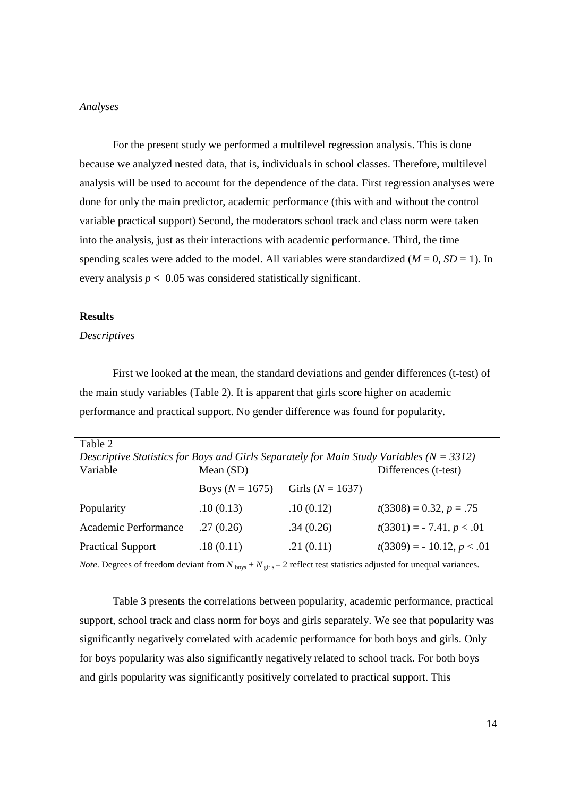#### *Analyses*

For the present study we performed a multilevel regression analysis. This is done because we analyzed nested data, that is, individuals in school classes. Therefore, multilevel analysis will be used to account for the dependence of the data. First regression analyses were done for only the main predictor, academic performance (this with and without the control variable practical support) Second, the moderators school track and class norm were taken into the analysis, just as their interactions with academic performance. Third, the time spending scales were added to the model. All variables were standardized  $(M = 0, SD = 1)$ . In every analysis  $p < 0.05$  was considered statistically significant.

## **Results**

### *Descriptives*

First we looked at the mean, the standard deviations and gender differences (t-test) of the main study variables (Table 2). It is apparent that girls score higher on academic performance and practical support. No gender difference was found for popularity.

| Table 2                                                                                      |                   |                      |                              |
|----------------------------------------------------------------------------------------------|-------------------|----------------------|------------------------------|
| Descriptive Statistics for Boys and Girls Separately for Main Study Variables ( $N = 3312$ ) |                   |                      |                              |
| Variable                                                                                     | Mean $(SD)$       |                      | Differences (t-test)         |
|                                                                                              | Boys $(N = 1675)$ | Girls ( $N = 1637$ ) |                              |
| Popularity                                                                                   | .10(0.13)         | .10(0.12)            | $t(3308) = 0.32, p = .75$    |
| Academic Performance                                                                         | .27(0.26)         | .34(0.26)            | $t(3301) = -7.41, p < 0.01$  |
| <b>Practical Support</b>                                                                     | .18(0.11)         | .21(0.11)            | $t(3309) = -10.12, p < 0.01$ |

*Note*. Degrees of freedom deviant from  $N_{\text{box}} + N_{\text{circ}} - 2$  reflect test statistics adjusted for unequal variances.

Table 3 presents the correlations between popularity, academic performance, practical support, school track and class norm for boys and girls separately. We see that popularity was significantly negatively correlated with academic performance for both boys and girls. Only for boys popularity was also significantly negatively related to school track. For both boys and girls popularity was significantly positively correlated to practical support. This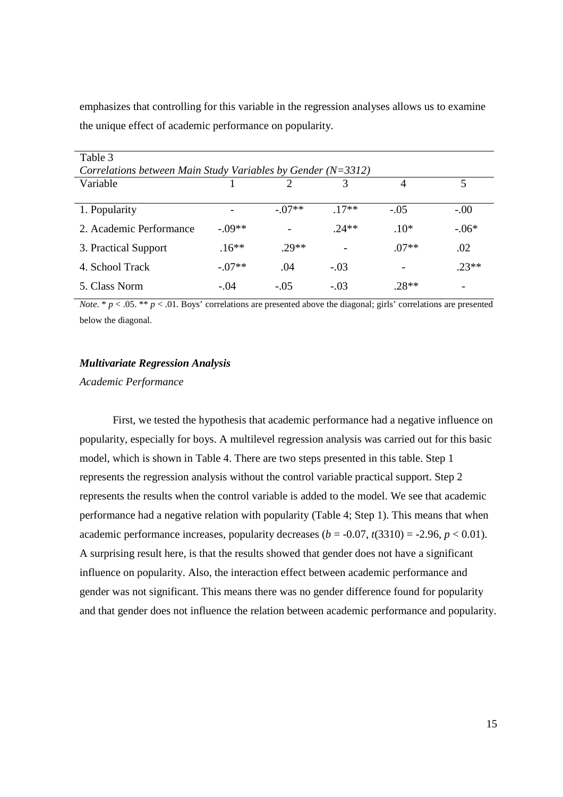emphasizes that controlling for this variable in the regression analyses allows us to examine the unique effect of academic performance on popularity.

| Table 3<br>Correlations between Main Study Variables by Gender $(N=3312)$ |         |         |        |         |         |  |  |
|---------------------------------------------------------------------------|---------|---------|--------|---------|---------|--|--|
| Variable                                                                  |         |         | 3      | 4       | 5       |  |  |
| 1. Popularity                                                             |         | $-07**$ | $17**$ | $-.05$  | $-.00$  |  |  |
| 2. Academic Performance                                                   | $-09**$ |         | $24**$ | $.10*$  | $-.06*$ |  |  |
| 3. Practical Support                                                      | $.16**$ | $29**$  |        | $.07**$ | .02     |  |  |
| 4. School Track                                                           | $-07**$ | .04     | $-.03$ |         | $23**$  |  |  |
| 5. Class Norm                                                             | $-.04$  | $-.05$  | $-.03$ | 28**    |         |  |  |

*Note.* \*  $p < .05$ . \*\*  $p < .01$ . Boys' correlations are presented above the diagonal; girls' correlations are presented below the diagonal.

## *Multivariate Regression Analysis*

*Academic Performance* 

First, we tested the hypothesis that academic performance had a negative influence on popularity, especially for boys. A multilevel regression analysis was carried out for this basic model, which is shown in Table 4. There are two steps presented in this table. Step 1 represents the regression analysis without the control variable practical support. Step 2 represents the results when the control variable is added to the model. We see that academic performance had a negative relation with popularity (Table 4; Step 1). This means that when academic performance increases, popularity decreases ( $b = -0.07$ ,  $t(3310) = -2.96$ ,  $p < 0.01$ ). A surprising result here, is that the results showed that gender does not have a significant influence on popularity. Also, the interaction effect between academic performance and gender was not significant. This means there was no gender difference found for popularity and that gender does not influence the relation between academic performance and popularity.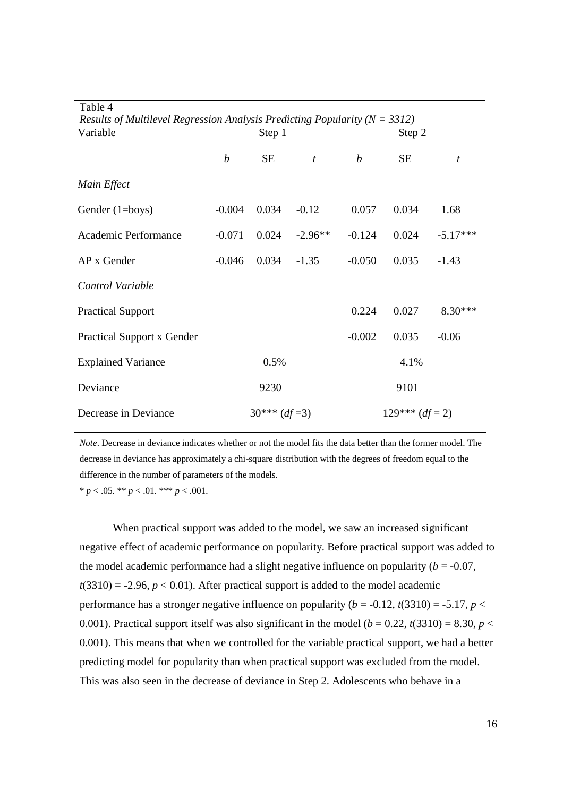| Table 4                                                                        |                                     |           |                  |                  |           |            |  |
|--------------------------------------------------------------------------------|-------------------------------------|-----------|------------------|------------------|-----------|------------|--|
| Results of Multilevel Regression Analysis Predicting Popularity ( $N = 3312$ ) |                                     |           |                  |                  |           |            |  |
| Variable                                                                       |                                     | Step 1    |                  |                  | Step 2    |            |  |
|                                                                                |                                     |           |                  |                  |           |            |  |
|                                                                                | $\boldsymbol{b}$                    | <b>SE</b> | $\boldsymbol{t}$ | $\boldsymbol{b}$ | <b>SE</b> | t          |  |
| Main Effect                                                                    |                                     |           |                  |                  |           |            |  |
| Gender $(1 = boys)$                                                            | $-0.004$                            | 0.034     | $-0.12$          | 0.057            | 0.034     | 1.68       |  |
| Academic Performance                                                           | $-0.071$                            | 0.024     | $-2.96**$        | $-0.124$         | 0.024     | $-5.17***$ |  |
| AP x Gender                                                                    | $-0.046$                            | 0.034     | $-1.35$          | $-0.050$         | 0.035     | $-1.43$    |  |
| Control Variable                                                               |                                     |           |                  |                  |           |            |  |
| <b>Practical Support</b>                                                       |                                     |           |                  | 0.224            | 0.027     | $8.30***$  |  |
| <b>Practical Support x Gender</b>                                              |                                     |           |                  | $-0.002$         | 0.035     | $-0.06$    |  |
| <b>Explained Variance</b>                                                      |                                     | 0.5%      |                  |                  | 4.1%      |            |  |
| Deviance                                                                       |                                     | 9230      |                  |                  | 9101      |            |  |
| Decrease in Deviance                                                           | $129***$ (df = 2)<br>$30***$ (df=3) |           |                  |                  |           |            |  |

*Note*. Decrease in deviance indicates whether or not the model fits the data better than the former model. The decrease in deviance has approximately a chi-square distribution with the degrees of freedom equal to the difference in the number of parameters of the models.

 $* p < .05. ** p < .01.*** p < .001.$ 

When practical support was added to the model, we saw an increased significant negative effect of academic performance on popularity. Before practical support was added to the model academic performance had a slight negative influence on popularity  $(b = -0.07,$  $t(3310) = -2.96$ ,  $p < 0.01$ ). After practical support is added to the model academic performance has a stronger negative influence on popularity ( $b = -0.12$ ,  $t(3310) = -5.17$ ,  $p <$ 0.001). Practical support itself was also significant in the model ( $b = 0.22$ ,  $t(3310) = 8.30$ ,  $p <$ 0.001). This means that when we controlled for the variable practical support, we had a better predicting model for popularity than when practical support was excluded from the model. This was also seen in the decrease of deviance in Step 2. Adolescents who behave in a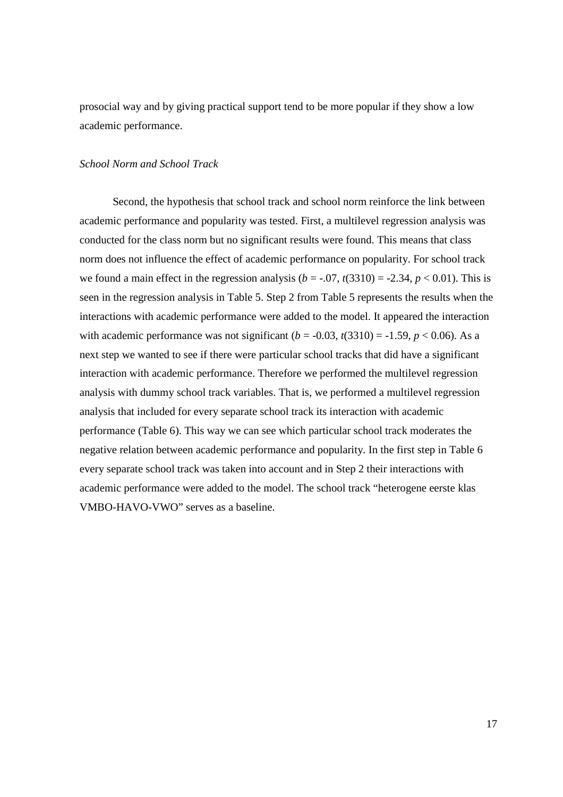prosocial way and by giving practical support tend to be more popular if they show a low academic performance.

## *School Norm and School Track*

Second, the hypothesis that school track and school norm reinforce the link between academic performance and popularity was tested. First, a multilevel regression analysis was conducted for the class norm but no significant results were found. This means that class norm does not influence the effect of academic performance on popularity. For school track we found a main effect in the regression analysis ( $b = -0.07$ ,  $t(3310) = -2.34$ ,  $p < 0.01$ ). This is seen in the regression analysis in Table 5. Step 2 from Table 5 represents the results when the interactions with academic performance were added to the model. It appeared the interaction with academic performance was not significant ( $b = -0.03$ ,  $t(3310) = -1.59$ ,  $p < 0.06$ ). As a next step we wanted to see if there were particular school tracks that did have a significant interaction with academic performance. Therefore we performed the multilevel regression analysis with dummy school track variables. That is, we performed a multilevel regression analysis that included for every separate school track its interaction with academic performance (Table 6). This way we can see which particular school track moderates the negative relation between academic performance and popularity. In the first step in Table 6 every separate school track was taken into account and in Step 2 their interactions with academic performance were added to the model. The school track "heterogene eerste klas VMBO-HAVO-VWO" serves as a baseline.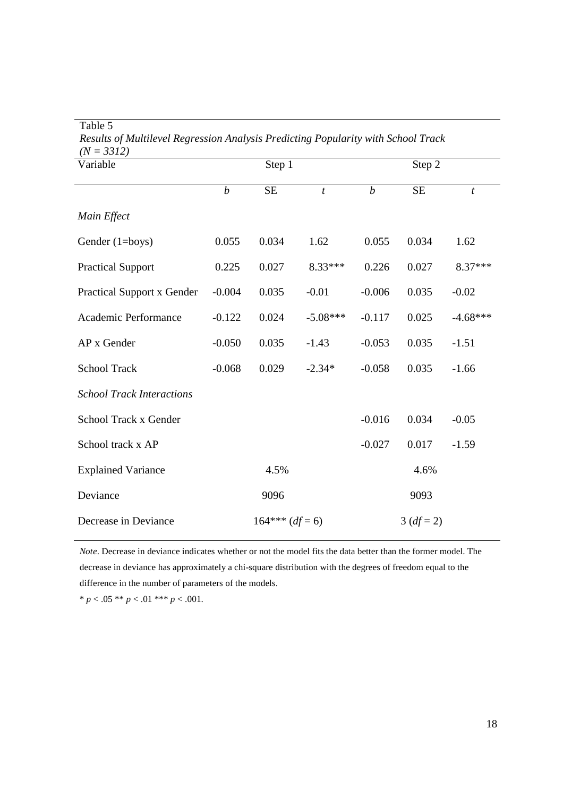Table 5

*Results of Multilevel Regression Analysis Predicting Popularity with School Track (N = 3312)*

| $(1V = JJIZ)$<br>Variable         | Step 1           |                   |                  | Step 2           |              |                  |
|-----------------------------------|------------------|-------------------|------------------|------------------|--------------|------------------|
|                                   | $\boldsymbol{b}$ | $\rm SE$          | $\boldsymbol{t}$ | $\boldsymbol{b}$ | $\rm SE$     | $\boldsymbol{t}$ |
| Main Effect                       |                  |                   |                  |                  |              |                  |
| Gender (1=boys)                   | 0.055            | 0.034             | 1.62             | 0.055            | 0.034        | 1.62             |
| <b>Practical Support</b>          | 0.225            | 0.027             | 8.33***          | 0.226            | 0.027        | 8.37***          |
| <b>Practical Support x Gender</b> | $-0.004$         | 0.035             | $-0.01$          | $-0.006$         | 0.035        | $-0.02$          |
| Academic Performance              | $-0.122$         | 0.024             | $-5.08***$       | $-0.117$         | 0.025        | $-4.68***$       |
| AP x Gender                       | $-0.050$         | 0.035             | $-1.43$          | $-0.053$         | 0.035        | $-1.51$          |
| <b>School Track</b>               | $-0.068$         | 0.029             | $-2.34*$         | $-0.058$         | 0.035        | $-1.66$          |
| <b>School Track Interactions</b>  |                  |                   |                  |                  |              |                  |
| School Track x Gender             |                  |                   |                  | $-0.016$         | 0.034        | $-0.05$          |
| School track x AP                 |                  |                   |                  | $-0.027$         | 0.017        | $-1.59$          |
| <b>Explained Variance</b>         |                  | 4.5%              |                  |                  | 4.6%         |                  |
| Deviance                          |                  | 9096              |                  |                  | 9093         |                  |
| Decrease in Deviance              |                  | $164***$ (df = 6) |                  |                  | $3 (df = 2)$ |                  |

*Note*. Decrease in deviance indicates whether or not the model fits the data better than the former model. The decrease in deviance has approximately a chi-square distribution with the degrees of freedom equal to the difference in the number of parameters of the models.

\*  $p < .05$  \*\*  $p < .01$  \*\*\*  $p < .001$ .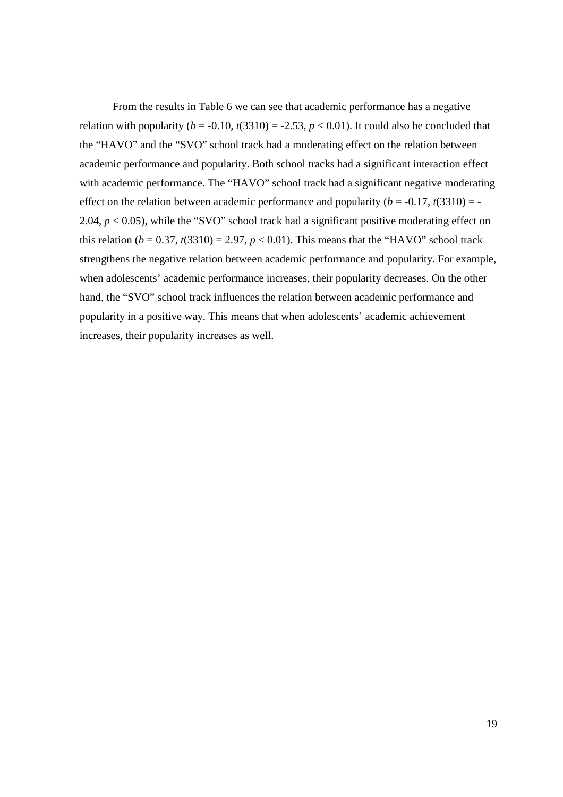From the results in Table 6 we can see that academic performance has a negative relation with popularity ( $b = -0.10$ ,  $t(3310) = -2.53$ ,  $p < 0.01$ ). It could also be concluded that the "HAVO" and the "SVO" school track had a moderating effect on the relation between academic performance and popularity. Both school tracks had a significant interaction effect with academic performance. The "HAVO" school track had a significant negative moderating effect on the relation between academic performance and popularity  $(b = -0.17, t(3310) = -10$ 2.04,  $p < 0.05$ ), while the "SVO" school track had a significant positive moderating effect on this relation ( $b = 0.37$ ,  $t(3310) = 2.97$ ,  $p < 0.01$ ). This means that the "HAVO" school track strengthens the negative relation between academic performance and popularity. For example, when adolescents' academic performance increases, their popularity decreases. On the other hand, the "SVO" school track influences the relation between academic performance and popularity in a positive way. This means that when adolescents' academic achievement increases, their popularity increases as well.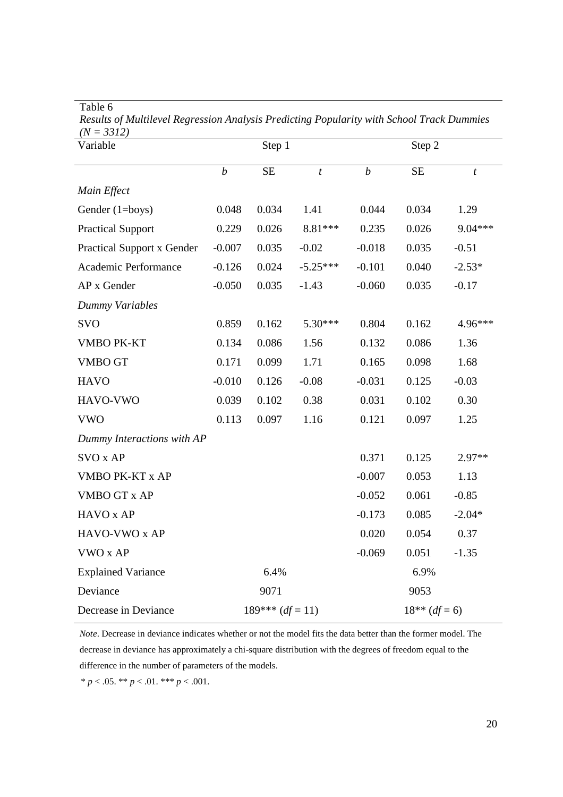Table 6

*Results of Multilevel Regression Analysis Predicting Popularity with School Track Dummies (N = 3312)*

| $-3912/$<br>Variable              | Step 1           |                    |                  | Step 2           |           |                  |  |
|-----------------------------------|------------------|--------------------|------------------|------------------|-----------|------------------|--|
|                                   | $\boldsymbol{b}$ | <b>SE</b>          | $\boldsymbol{t}$ | $\boldsymbol{b}$ | <b>SE</b> | $\boldsymbol{t}$ |  |
| Main Effect                       |                  |                    |                  |                  |           |                  |  |
| Gender (1=boys)                   | 0.048            | 0.034              | 1.41             | 0.044            | 0.034     | 1.29             |  |
| <b>Practical Support</b>          | 0.229            | 0.026              | 8.81***          | 0.235            | 0.026     | 9.04***          |  |
| <b>Practical Support x Gender</b> | $-0.007$         | 0.035              | $-0.02$          | $-0.018$         | 0.035     | $-0.51$          |  |
| Academic Performance              | $-0.126$         | 0.024              | $-5.25***$       | $-0.101$         | 0.040     | $-2.53*$         |  |
| AP x Gender                       | $-0.050$         | 0.035              | $-1.43$          | $-0.060$         | 0.035     | $-0.17$          |  |
| Dummy Variables                   |                  |                    |                  |                  |           |                  |  |
| <b>SVO</b>                        | 0.859            | 0.162              | 5.30***          | 0.804            | 0.162     | 4.96***          |  |
| <b>VMBO PK-KT</b>                 | 0.134            | 0.086              | 1.56             | 0.132            | 0.086     | 1.36             |  |
| <b>VMBO GT</b>                    | 0.171            | 0.099              | 1.71             | 0.165            | 0.098     | 1.68             |  |
| <b>HAVO</b>                       | $-0.010$         | 0.126              | $-0.08$          | $-0.031$         | 0.125     | $-0.03$          |  |
| HAVO-VWO                          | 0.039            | 0.102              | 0.38             | 0.031            | 0.102     | 0.30             |  |
| <b>VWO</b>                        | 0.113            | 0.097              | 1.16             | 0.121            | 0.097     | 1.25             |  |
| Dummy Interactions with AP        |                  |                    |                  |                  |           |                  |  |
| SVO x AP                          |                  |                    |                  | 0.371            | 0.125     | $2.97**$         |  |
| VMBO PK-KT x AP                   |                  |                    |                  | $-0.007$         | 0.053     | 1.13             |  |
| <b>VMBO GT x AP</b>               |                  |                    |                  | $-0.052$         | 0.061     | $-0.85$          |  |
| HAVO x AP                         |                  |                    |                  | $-0.173$         | 0.085     | $-2.04*$         |  |
| HAVO-VWO x AP                     |                  |                    |                  | 0.020            | 0.054     | 0.37             |  |
| VWO x AP                          |                  |                    |                  | $-0.069$         | 0.051     | $-1.35$          |  |
| <b>Explained Variance</b>         |                  | 6.4%               |                  |                  | 6.9%      |                  |  |
| Deviance                          |                  | 9071               |                  | 9053             |           |                  |  |
| Decrease in Deviance              |                  | $189***$ (df = 11) |                  | $18**$ (df = 6)  |           |                  |  |

*Note*. Decrease in deviance indicates whether or not the model fits the data better than the former model. The decrease in deviance has approximately a chi-square distribution with the degrees of freedom equal to the difference in the number of parameters of the models.

\* *p* < .05. \*\* *p* < .01. \*\*\* *p* < .001.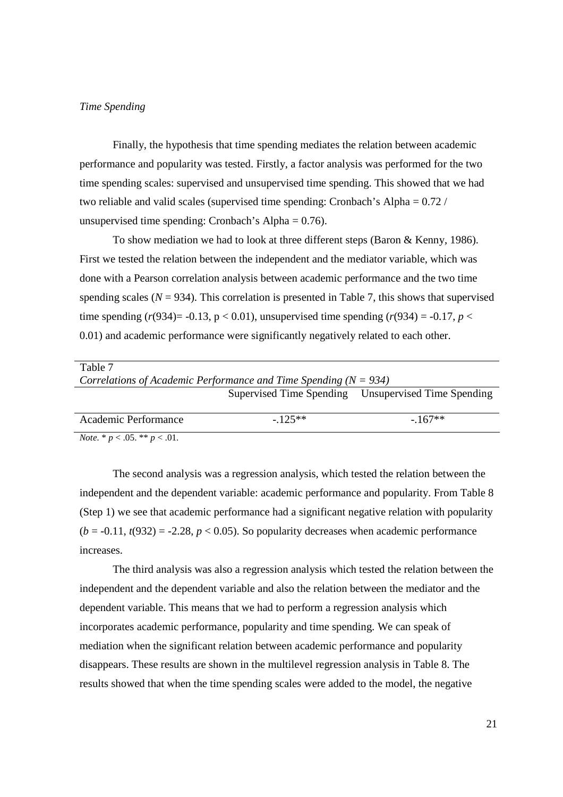#### *Time Spending*

Finally, the hypothesis that time spending mediates the relation between academic performance and popularity was tested. Firstly, a factor analysis was performed for the two time spending scales: supervised and unsupervised time spending. This showed that we had two reliable and valid scales (supervised time spending: Cronbach's Alpha = 0.72 / unsupervised time spending: Cronbach's Alpha  $= 0.76$ ).

To show mediation we had to look at three different steps (Baron & Kenny, 1986). First we tested the relation between the independent and the mediator variable, which was done with a Pearson correlation analysis between academic performance and the two time spending scales  $(N = 934)$ . This correlation is presented in Table 7, this shows that supervised time spending  $(r(934)= -0.13, p < 0.01)$ , unsupervised time spending  $(r(934)) = -0.17, p <$ 0.01) and academic performance were significantly negatively related to each other.

| Table 7                                                              |          |                                                     |  |  |  |  |  |
|----------------------------------------------------------------------|----------|-----------------------------------------------------|--|--|--|--|--|
| Correlations of Academic Performance and Time Spending ( $N = 934$ ) |          |                                                     |  |  |  |  |  |
|                                                                      |          | Supervised Time Spending Unsupervised Time Spending |  |  |  |  |  |
|                                                                      |          |                                                     |  |  |  |  |  |
| Academic Performance                                                 | $-125**$ | $-167**$                                            |  |  |  |  |  |
| <i>Note.</i> * $p < .05$ . ** $p < .01$ .                            |          |                                                     |  |  |  |  |  |

The second analysis was a regression analysis, which tested the relation between the independent and the dependent variable: academic performance and popularity. From Table 8 (Step 1) we see that academic performance had a significant negative relation with popularity  $(b = -0.11, t(932) = -2.28, p < 0.05)$ . So popularity decreases when academic performance increases.

The third analysis was also a regression analysis which tested the relation between the independent and the dependent variable and also the relation between the mediator and the dependent variable. This means that we had to perform a regression analysis which incorporates academic performance, popularity and time spending. We can speak of mediation when the significant relation between academic performance and popularity disappears. These results are shown in the multilevel regression analysis in Table 8. The results showed that when the time spending scales were added to the model, the negative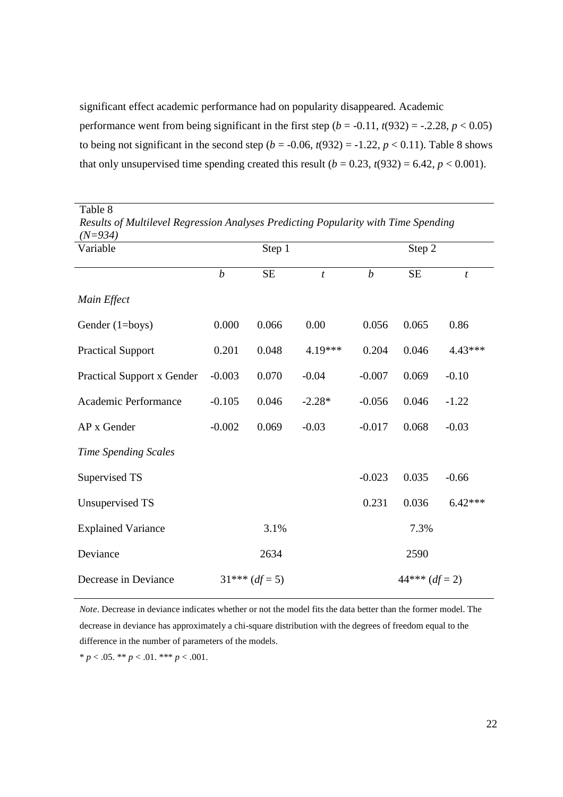significant effect academic performance had on popularity disappeared. Academic performance went from being significant in the first step  $(b = -0.11, t(932) = -.2.28, p < 0.05)$ to being not significant in the second step ( $b = -0.06$ ,  $t(932) = -1.22$ ,  $p < 0.11$ ). Table 8 shows that only unsupervised time spending created this result  $(b = 0.23, t(932) = 6.42, p < 0.001)$ .

| Resuus of muuttevet Regression Anatyses Freatcung Fopularity wun Time Spenaing<br>$(N=934)$ |                  |           |                  |                  |           |                  |  |
|---------------------------------------------------------------------------------------------|------------------|-----------|------------------|------------------|-----------|------------------|--|
| Variable                                                                                    |                  | Step 1    |                  |                  | Step 2    |                  |  |
|                                                                                             | $\boldsymbol{b}$ | <b>SE</b> | $\boldsymbol{t}$ | $\boldsymbol{b}$ | <b>SE</b> | $\boldsymbol{t}$ |  |
| Main Effect                                                                                 |                  |           |                  |                  |           |                  |  |
| Gender (1=boys)                                                                             | 0.000            | 0.066     | 0.00             | 0.056            | 0.065     | 0.86             |  |
| <b>Practical Support</b>                                                                    | 0.201            | 0.048     | 4.19***          | 0.204            | 0.046     | 4.43***          |  |
| <b>Practical Support x Gender</b>                                                           | $-0.003$         | 0.070     | $-0.04$          | $-0.007$         | 0.069     | $-0.10$          |  |
| Academic Performance                                                                        | $-0.105$         | 0.046     | $-2.28*$         | $-0.056$         | 0.046     | $-1.22$          |  |
| AP x Gender                                                                                 | $-0.002$         | 0.069     | $-0.03$          | $-0.017$         | 0.068     | $-0.03$          |  |
| <b>Time Spending Scales</b>                                                                 |                  |           |                  |                  |           |                  |  |
| Supervised TS                                                                               |                  |           |                  | $-0.023$         | 0.035     | $-0.66$          |  |
| Unsupervised TS                                                                             |                  |           |                  | 0.231            | 0.036     | $6.42***$        |  |
| <b>Explained Variance</b>                                                                   |                  | 3.1%      |                  |                  | 7.3%      |                  |  |
| Deviance                                                                                    |                  | 2634      |                  |                  | 2590      |                  |  |
| Decrease in Deviance                                                                        | $31***$ (df = 5) |           |                  | $44***$ (df = 2) |           |                  |  |

Table 8 *Results of Multilevel Regression Analyses Predicting Popularity with Time Spending* 

*Note*. Decrease in deviance indicates whether or not the model fits the data better than the former model. The decrease in deviance has approximately a chi-square distribution with the degrees of freedom equal to the difference in the number of parameters of the models.

\*  $p < .05$ . \*\*  $p < .01$ . \*\*\*  $p < .001$ .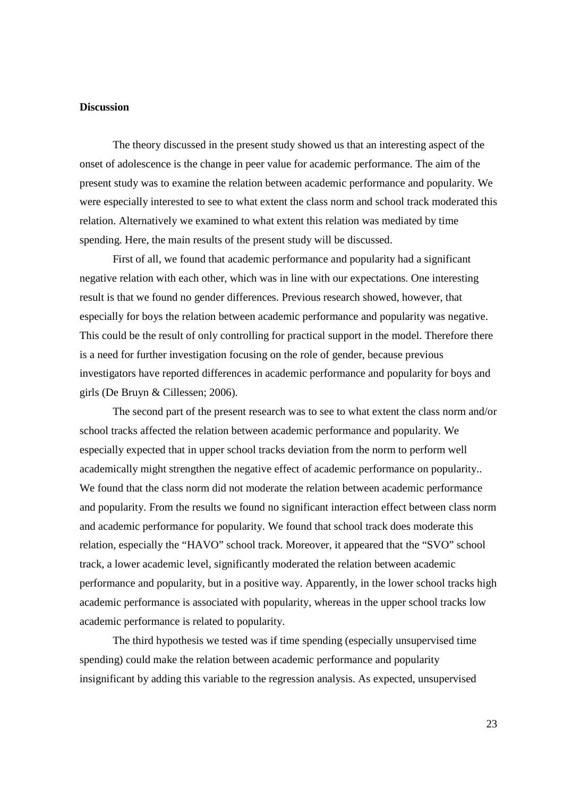## **Discussion**

The theory discussed in the present study showed us that an interesting aspect of the onset of adolescence is the change in peer value for academic performance. The aim of the present study was to examine the relation between academic performance and popularity. We were especially interested to see to what extent the class norm and school track moderated this relation. Alternatively we examined to what extent this relation was mediated by time spending. Here, the main results of the present study will be discussed.

First of all, we found that academic performance and popularity had a significant negative relation with each other, which was in line with our expectations. One interesting result is that we found no gender differences. Previous research showed, however, that especially for boys the relation between academic performance and popularity was negative. This could be the result of only controlling for practical support in the model. Therefore there is a need for further investigation focusing on the role of gender, because previous investigators have reported differences in academic performance and popularity for boys and girls (De Bruyn & Cillessen; 2006).

The second part of the present research was to see to what extent the class norm and/or school tracks affected the relation between academic performance and popularity. We especially expected that in upper school tracks deviation from the norm to perform well academically might strengthen the negative effect of academic performance on popularity.. We found that the class norm did not moderate the relation between academic performance and popularity. From the results we found no significant interaction effect between class norm and academic performance for popularity. We found that school track does moderate this relation, especially the "HAVO" school track. Moreover, it appeared that the "SVO" school track, a lower academic level, significantly moderated the relation between academic performance and popularity, but in a positive way. Apparently, in the lower school tracks high academic performance is associated with popularity, whereas in the upper school tracks low academic performance is related to popularity.

The third hypothesis we tested was if time spending (especially unsupervised time spending) could make the relation between academic performance and popularity insignificant by adding this variable to the regression analysis. As expected, unsupervised

23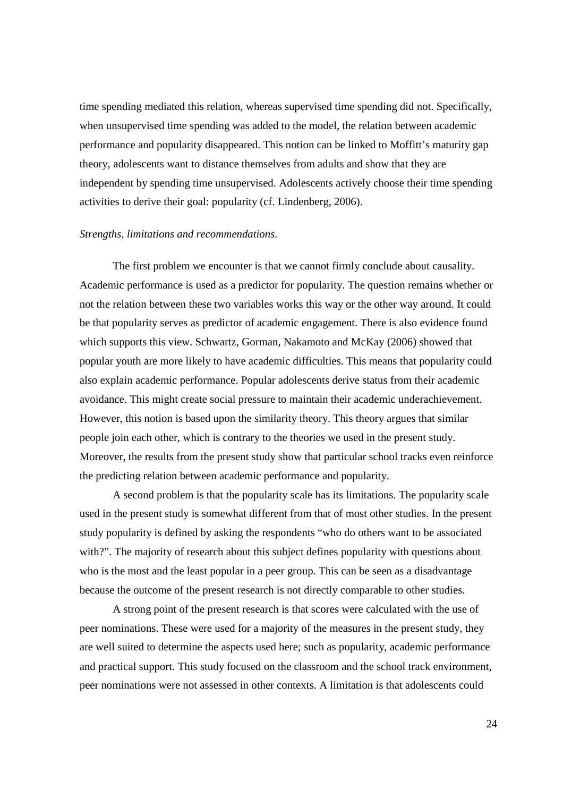time spending mediated this relation, whereas supervised time spending did not. Specifically, when unsupervised time spending was added to the model, the relation between academic performance and popularity disappeared. This notion can be linked to Moffitt's maturity gap theory, adolescents want to distance themselves from adults and show that they are independent by spending time unsupervised. Adolescents actively choose their time spending activities to derive their goal: popularity (cf. Lindenberg, 2006).

#### *Strengths, limitations and recommendations.*

The first problem we encounter is that we cannot firmly conclude about causality. Academic performance is used as a predictor for popularity. The question remains whether or not the relation between these two variables works this way or the other way around. It could be that popularity serves as predictor of academic engagement. There is also evidence found which supports this view. Schwartz, Gorman, Nakamoto and McKay (2006) showed that popular youth are more likely to have academic difficulties. This means that popularity could also explain academic performance. Popular adolescents derive status from their academic avoidance. This might create social pressure to maintain their academic underachievement. However, this notion is based upon the similarity theory. This theory argues that similar people join each other, which is contrary to the theories we used in the present study. Moreover, the results from the present study show that particular school tracks even reinforce the predicting relation between academic performance and popularity.

A second problem is that the popularity scale has its limitations. The popularity scale used in the present study is somewhat different from that of most other studies. In the present study popularity is defined by asking the respondents "who do others want to be associated with?". The majority of research about this subject defines popularity with questions about who is the most and the least popular in a peer group. This can be seen as a disadvantage because the outcome of the present research is not directly comparable to other studies.

A strong point of the present research is that scores were calculated with the use of peer nominations. These were used for a majority of the measures in the present study, they are well suited to determine the aspects used here; such as popularity, academic performance and practical support. This study focused on the classroom and the school track environment, peer nominations were not assessed in other contexts. A limitation is that adolescents could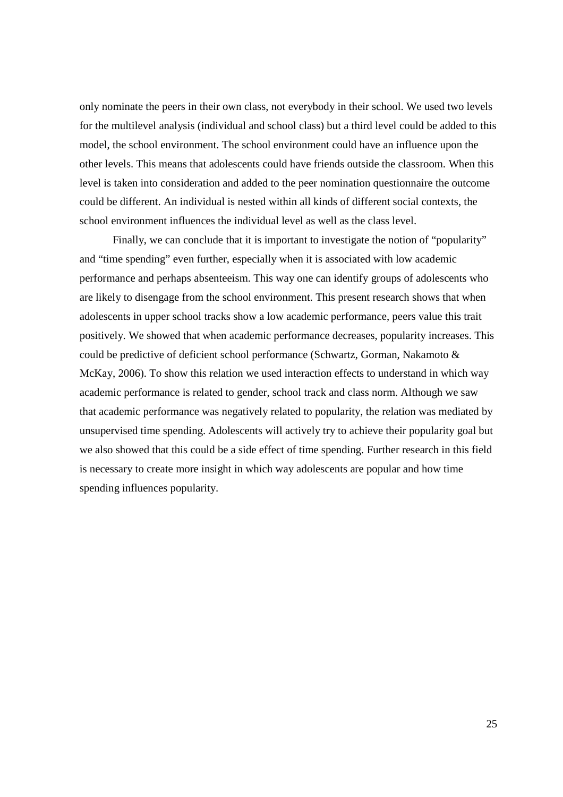only nominate the peers in their own class, not everybody in their school. We used two levels for the multilevel analysis (individual and school class) but a third level could be added to this model, the school environment. The school environment could have an influence upon the other levels. This means that adolescents could have friends outside the classroom. When this level is taken into consideration and added to the peer nomination questionnaire the outcome could be different. An individual is nested within all kinds of different social contexts, the school environment influences the individual level as well as the class level.

Finally, we can conclude that it is important to investigate the notion of "popularity" and "time spending" even further, especially when it is associated with low academic performance and perhaps absenteeism. This way one can identify groups of adolescents who are likely to disengage from the school environment. This present research shows that when adolescents in upper school tracks show a low academic performance, peers value this trait positively. We showed that when academic performance decreases, popularity increases. This could be predictive of deficient school performance (Schwartz, Gorman, Nakamoto & McKay, 2006). To show this relation we used interaction effects to understand in which way academic performance is related to gender, school track and class norm. Although we saw that academic performance was negatively related to popularity, the relation was mediated by unsupervised time spending. Adolescents will actively try to achieve their popularity goal but we also showed that this could be a side effect of time spending. Further research in this field is necessary to create more insight in which way adolescents are popular and how time spending influences popularity.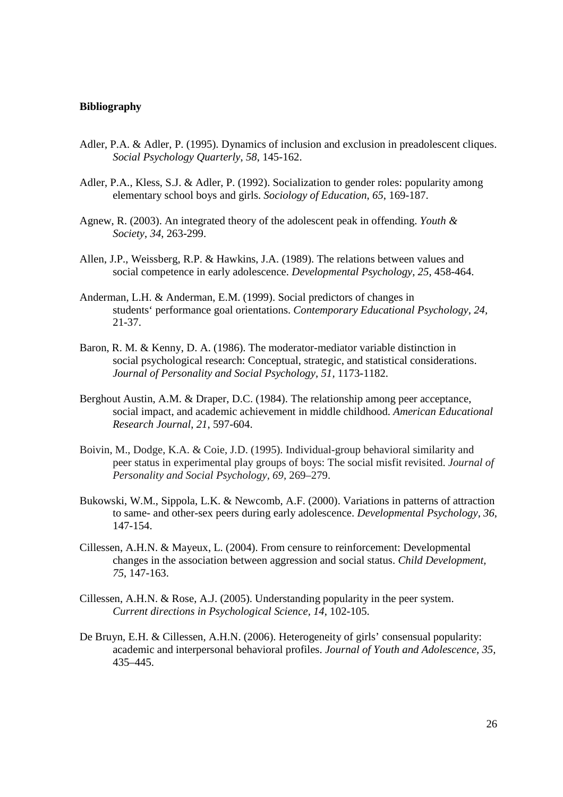#### **Bibliography**

- Adler, P.A. & Adler, P. (1995). Dynamics of inclusion and exclusion in preadolescent cliques. *Social Psychology Quarterly*, *58*, 145-162.
- Adler, P.A., Kless, S.J. & Adler, P. (1992). Socialization to gender roles: popularity among elementary school boys and girls. *Sociology of Education*, *65*, 169-187.
- Agnew, R. (2003). An integrated theory of the adolescent peak in offending. *Youth & Society*, *34*, 263-299.
- Allen, J.P., Weissberg, R.P. & Hawkins, J.A. (1989). The relations between values and social competence in early adolescence. *Developmental Psychology, 25*, 458-464.
- Anderman, L.H. & Anderman, E.M. (1999). Social predictors of changes in students' performance goal orientations. *Contemporary Educational Psychology, 24,* 21-37.
- Baron, R. M. & Kenny, D. A. (1986). The moderator-mediator variable distinction in social psychological research: Conceptual, strategic, and statistical considerations. *Journal of Personality and Social Psychology, 51,* 1173-1182.
- Berghout Austin, A.M. & Draper, D.C. (1984). The relationship among peer acceptance, social impact, and academic achievement in middle childhood. *American Educational Research Journal*, *21*, 597-604.
- Boivin, M., Dodge, K.A. & Coie, J.D. (1995). Individual-group behavioral similarity and peer status in experimental play groups of boys: The social misfit revisited. *Journal of Personality and Social Psychology, 69,* 269–279.
- Bukowski, W.M., Sippola, L.K. & Newcomb, A.F. (2000). Variations in patterns of attraction to same- and other-sex peers during early adolescence. *Developmental Psychology, 36*, 147-154.
- Cillessen, A.H.N. & Mayeux, L. (2004). From censure to reinforcement: Developmental changes in the association between aggression and social status. *Child Development, 75*, 147-163.
- Cillessen, A.H.N. & Rose, A.J. (2005). Understanding popularity in the peer system. *Current directions in Psychological Science, 14*, 102-105.
- De Bruyn, E.H. & Cillessen, A.H.N. (2006). Heterogeneity of girls' consensual popularity: academic and interpersonal behavioral profiles. *Journal of Youth and Adolescence, 35,*  435–445.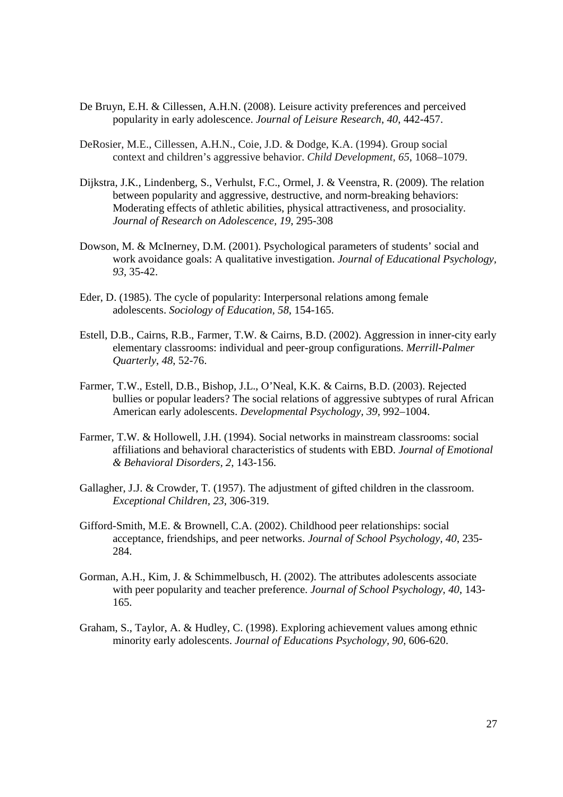- De Bruyn, E.H. & Cillessen, A.H.N. (2008). Leisure activity preferences and perceived popularity in early adolescence. *Journal of Leisure Research*, *40*, 442-457.
- DeRosier, M.E., Cillessen, A.H.N., Coie, J.D. & Dodge, K.A. (1994). Group social context and children's aggressive behavior. *Child Development, 65*, 1068–1079.
- Dijkstra, J.K., Lindenberg, S., Verhulst, F.C., Ormel, J. & Veenstra, R. (2009). The relation between popularity and aggressive, destructive, and norm-breaking behaviors: Moderating effects of athletic abilities, physical attractiveness, and prosociality. *Journal of Research on Adolescence, 19*, 295-308
- Dowson, M. & McInerney, D.M. (2001). Psychological parameters of students' social and work avoidance goals: A qualitative investigation. *Journal of Educational Psychology, 93,* 35-42.
- Eder, D. (1985). The cycle of popularity: Interpersonal relations among female adolescents. *Sociology of Education, 58*, 154-165.
- Estell, D.B., Cairns, R.B., Farmer, T.W. & Cairns, B.D. (2002). Aggression in inner-city early elementary classrooms: individual and peer-group configurations. *Merrill-Palmer Quarterly*, *48*, 52-76.
- Farmer, T.W., Estell, D.B., Bishop, J.L., O'Neal, K.K. & Cairns, B.D. (2003). Rejected bullies or popular leaders? The social relations of aggressive subtypes of rural African American early adolescents. *Developmental Psychology, 39,* 992–1004.
- Farmer, T.W. & Hollowell, J.H. (1994). Social networks in mainstream classrooms: social affiliations and behavioral characteristics of students with EBD. *Journal of Emotional & Behavioral Disorders, 2*, 143-156.
- Gallagher, J.J. & Crowder, T. (1957). The adjustment of gifted children in the classroom. *Exceptional Children, 23*, 306-319.
- Gifford-Smith, M.E. & Brownell, C.A. (2002). Childhood peer relationships: social acceptance, friendships, and peer networks. *Journal of School Psychology, 40*, 235- 284.
- Gorman, A.H., Kim, J. & Schimmelbusch, H. (2002). The attributes adolescents associate with peer popularity and teacher preference. *Journal of School Psychology, 40*, 143- 165.
- Graham, S., Taylor, A. & Hudley, C. (1998). Exploring achievement values among ethnic minority early adolescents. *Journal of Educations Psychology, 90*, 606-620.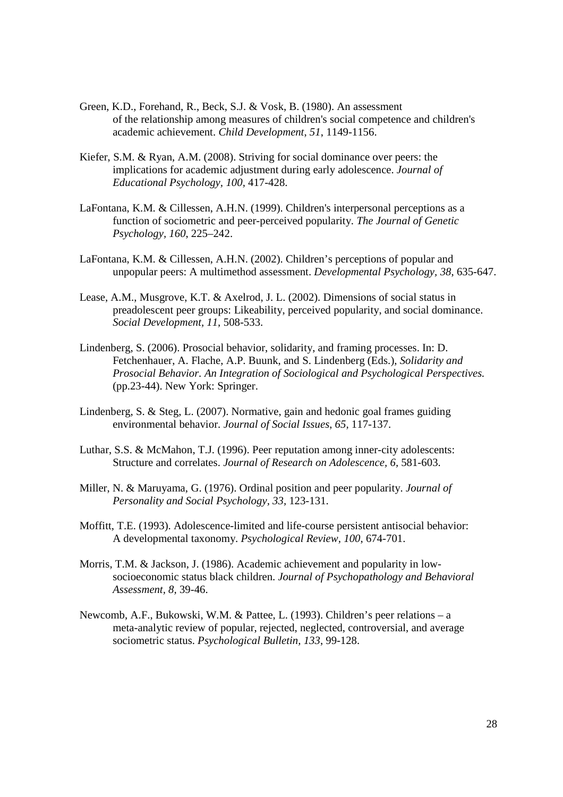- Green, K.D., Forehand, R., Beck, S.J. & Vosk, B. (1980). An assessment of the relationship among measures of children's social competence and children's academic achievement. *Child Development*, *51*, 1149-1156.
- Kiefer, S.M. & Ryan, A.M. (2008). Striving for social dominance over peers: the implications for academic adjustment during early adolescence. *Journal of Educational Psychology, 100,* 417-428.
- LaFontana, K.M. & Cillessen, A.H.N. (1999). Children's interpersonal perceptions as a function of sociometric and peer-perceived popularity. *The Journal of Genetic Psychology, 160*, 225–242.
- LaFontana, K.M. & Cillessen, A.H.N. (2002). Children's perceptions of popular and unpopular peers: A multimethod assessment. *Developmental Psychology, 38*, 635-647.
- Lease, A.M., Musgrove, K.T. & Axelrod, J. L. (2002). Dimensions of social status in preadolescent peer groups: Likeability, perceived popularity, and social dominance. *Social Development, 11,* 508-533.
- Lindenberg, S. (2006). Prosocial behavior, solidarity, and framing processes. In: D. Fetchenhauer, A. Flache, A.P. Buunk, and S. Lindenberg (Eds.), *Solidarity and Prosocial Behavior. An Integration of Sociological and Psychological Perspectives.* (pp.23-44). New York: Springer.
- Lindenberg, S. & Steg, L. (2007). Normative, gain and hedonic goal frames guiding environmental behavior. *Journal of Social Issues*, *65,* 117-137.
- Luthar, S.S. & McMahon, T.J. (1996). Peer reputation among inner-city adolescents: Structure and correlates. *Journal of Research on Adolescence, 6,* 581-603.
- Miller, N. & Maruyama, G. (1976). Ordinal position and peer popularity. *Journal of Personality and Social Psychology, 33,* 123-131.
- Moffitt, T.E. (1993). Adolescence-limited and life-course persistent antisocial behavior: A developmental taxonomy. *Psychological Review, 100*, 674-701.
- Morris, T.M. & Jackson, J. (1986). Academic achievement and popularity in lowsocioeconomic status black children. *Journal of Psychopathology and Behavioral Assessment, 8,* 39-46.
- Newcomb, A.F., Bukowski, W.M. & Pattee, L. (1993). Children's peer relations a meta-analytic review of popular, rejected, neglected, controversial, and average sociometric status. *Psychological Bulletin, 133*, 99-128.